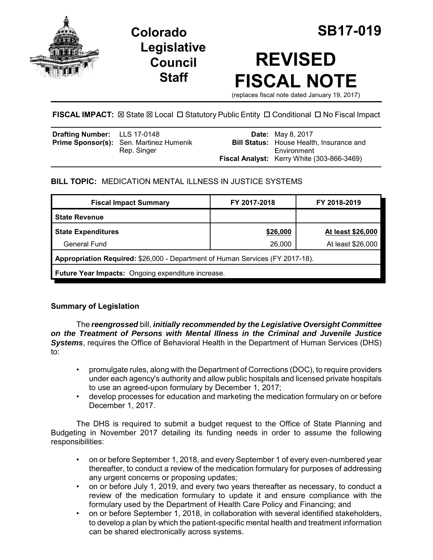

**Legislative Council Staff**

# **REVISED FISCAL NOTE**

(replaces fiscal note dated January 19, 2017)

**FISCAL IMPACT:**  $\boxtimes$  **State**  $\boxtimes$  **Local □ Statutory Public Entity □ Conditional □ No Fiscal Impact** 

| <b>Drafting Number:</b> LLS 17-0148 |                                                | <b>Date:</b> May 8, 2017                        |
|-------------------------------------|------------------------------------------------|-------------------------------------------------|
|                                     | <b>Prime Sponsor(s):</b> Sen. Martinez Humenik | <b>Bill Status:</b> House Health, Insurance and |
|                                     | Rep. Singer                                    | Environment                                     |
|                                     |                                                | Fiscal Analyst: Kerry White (303-866-3469)      |

# **BILL TOPIC:** MEDICATION MENTAL ILLNESS IN JUSTICE SYSTEMS

| <b>Fiscal Impact Summary</b>                                                  | FY 2017-2018 | FY 2018-2019      |  |  |  |
|-------------------------------------------------------------------------------|--------------|-------------------|--|--|--|
| <b>State Revenue</b>                                                          |              |                   |  |  |  |
| <b>State Expenditures</b>                                                     | \$26,000     | At least \$26,000 |  |  |  |
| General Fund                                                                  | 26,000       | At least \$26,000 |  |  |  |
| Appropriation Required: \$26,000 - Department of Human Services (FY 2017-18). |              |                   |  |  |  |
| <b>Future Year Impacts:</b> Ongoing expenditure increase.                     |              |                   |  |  |  |

# **Summary of Legislation**

The *reengrossed* bill, *initially recommended by the Legislative Oversight Committee on the Treatment of Persons with Mental Illness in the Criminal and Juvenile Justice* **Systems**, requires the Office of Behavioral Health in the Department of Human Services (DHS) to:

- promulgate rules, along with the Department of Corrections (DOC), to require providers under each agency's authority and allow public hospitals and licensed private hospitals to use an agreed-upon formulary by December 1, 2017;
- develop processes for education and marketing the medication formulary on or before December 1, 2017.

The DHS is required to submit a budget request to the Office of State Planning and Budgeting in November 2017 detailing its funding needs in order to assume the following responsibilities:

- on or before September 1, 2018, and every September 1 of every even-numbered year thereafter, to conduct a review of the medication formulary for purposes of addressing any urgent concerns or proposing updates;
- on or before July 1, 2019, and every two years thereafter as necessary, to conduct a review of the medication formulary to update it and ensure compliance with the formulary used by the Department of Health Care Policy and Financing; and
- on or before September 1, 2018, in collaboration with several identified stakeholders, to develop a plan by which the patient-specific mental health and treatment information can be shared electronically across systems.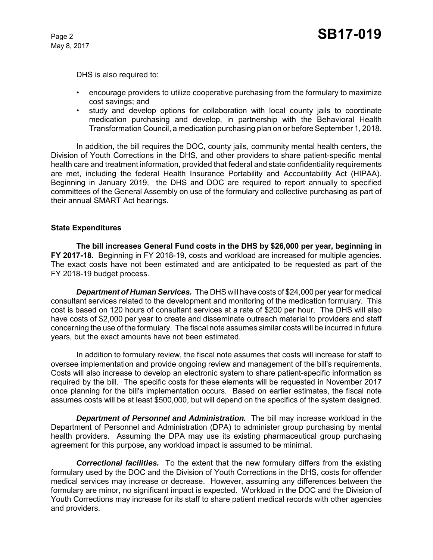May 8, 2017

DHS is also required to:

- encourage providers to utilize cooperative purchasing from the formulary to maximize cost savings; and
- study and develop options for collaboration with local county jails to coordinate medication purchasing and develop, in partnership with the Behavioral Health Transformation Council, a medication purchasing plan on or before September 1, 2018.

In addition, the bill requires the DOC, county jails, community mental health centers, the Division of Youth Corrections in the DHS, and other providers to share patient-specific mental health care and treatment information, provided that federal and state confidentiality requirements are met, including the federal Health Insurance Portability and Accountability Act (HIPAA). Beginning in January 2019, the DHS and DOC are required to report annually to specified committees of the General Assembly on use of the formulary and collective purchasing as part of their annual SMART Act hearings.

## **State Expenditures**

**The bill increases General Fund costs in the DHS by \$26,000 per year, beginning in FY 2017-18.** Beginning in FY 2018-19, costs and workload are increased for multiple agencies. The exact costs have not been estimated and are anticipated to be requested as part of the FY 2018-19 budget process.

*Department of Human Services.* The DHS will have costs of \$24,000 per year for medical consultant services related to the development and monitoring of the medication formulary. This cost is based on 120 hours of consultant services at a rate of \$200 per hour. The DHS will also have costs of \$2,000 per year to create and disseminate outreach material to providers and staff concerning the use of the formulary. The fiscal note assumes similar costs will be incurred in future years, but the exact amounts have not been estimated.

In addition to formulary review, the fiscal note assumes that costs will increase for staff to oversee implementation and provide ongoing review and management of the bill's requirements. Costs will also increase to develop an electronic system to share patient-specific information as required by the bill. The specific costs for these elements will be requested in November 2017 once planning for the bill's implementation occurs. Based on earlier estimates, the fiscal note assumes costs will be at least \$500,000, but will depend on the specifics of the system designed.

*Department of Personnel and Administration.* The bill may increase workload in the Department of Personnel and Administration (DPA) to administer group purchasing by mental health providers. Assuming the DPA may use its existing pharmaceutical group purchasing agreement for this purpose, any workload impact is assumed to be minimal.

*Correctional facilities.* To the extent that the new formulary differs from the existing formulary used by the DOC and the Division of Youth Corrections in the DHS, costs for offender medical services may increase or decrease. However, assuming any differences between the formulary are minor, no significant impact is expected. Workload in the DOC and the Division of Youth Corrections may increase for its staff to share patient medical records with other agencies and providers.